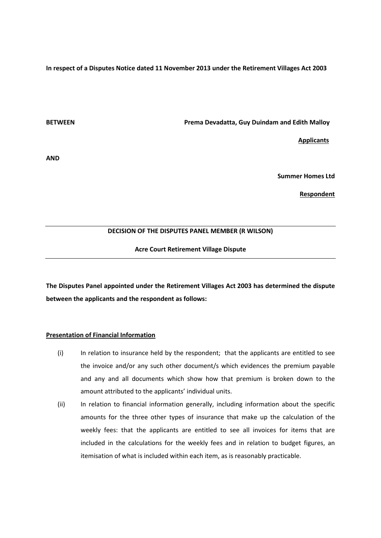**In respect of a Disputes Notice dated 11 November 2013 under the Retirement Villages Act 2003** 

**BETWEEN Prema Devadatta, Guy Duindam and Edith Malloy**

 **Applicants**

**AND**

**Summer Homes Ltd**

**Respondent**

# **DECISION OF THE DISPUTES PANEL MEMBER (R WILSON)**

**Acre Court Retirement Village Dispute**

**The Disputes Panel appointed under the Retirement Villages Act 2003 has determined the dispute between the applicants and the respondent as follows:**

# **Presentation of Financial Information**

- (i) In relation to insurance held by the respondent; that the applicants are entitled to see the invoice and/or any such other document/s which evidences the premium payable and any and all documents which show how that premium is broken down to the amount attributed to the applicants' individual units.
- (ii) In relation to financial information generally, including information about the specific amounts for the three other types of insurance that make up the calculation of the weekly fees: that the applicants are entitled to see all invoices for items that are included in the calculations for the weekly fees and in relation to budget figures, an itemisation of what is included within each item, as is reasonably practicable.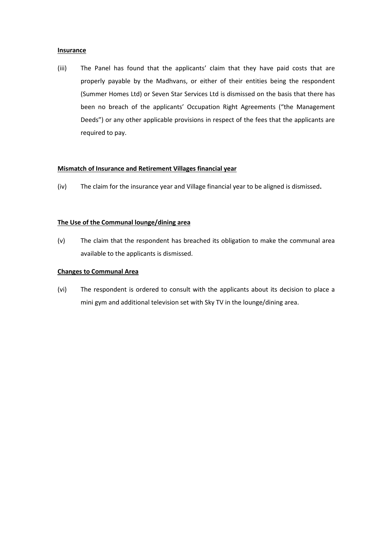# **Insurance**

(iii) The Panel has found that the applicants' claim that they have paid costs that are properly payable by the Madhvans, or either of their entities being the respondent (Summer Homes Ltd) or Seven Star Services Ltd is dismissed on the basis that there has been no breach of the applicants' Occupation Right Agreements ("the Management Deeds") or any other applicable provisions in respect of the fees that the applicants are required to pay.

# **Mismatch of Insurance and Retirement Villages financial year**

(iv) The claim for the insurance year and Village financial year to be aligned is dismissed**.**

# **The Use of the Communal lounge/dining area**

(v) The claim that the respondent has breached its obligation to make the communal area available to the applicants is dismissed.

# **Changes to Communal Area**

(vi) The respondent is ordered to consult with the applicants about its decision to place a mini gym and additional television set with Sky TV in the lounge/dining area.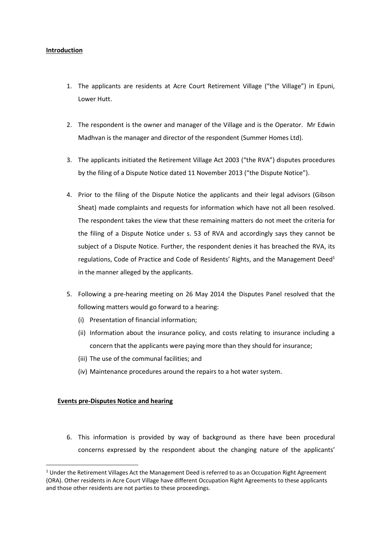# **Introduction**

- 1. The applicants are residents at Acre Court Retirement Village ("the Village") in Epuni, Lower Hutt.
- 2. The respondent is the owner and manager of the Village and is the Operator. Mr Edwin Madhvan is the manager and director of the respondent (Summer Homes Ltd).
- 3. The applicants initiated the Retirement Village Act 2003 ("the RVA") disputes procedures by the filing of a Dispute Notice dated 11 November 2013 ("the Dispute Notice").
- 4. Prior to the filing of the Dispute Notice the applicants and their legal advisors (Gibson Sheat) made complaints and requests for information which have not all been resolved. The respondent takes the view that these remaining matters do not meet the criteria for the filing of a Dispute Notice under s. 53 of RVA and accordingly says they cannot be subject of a Dispute Notice. Further, the respondent denies it has breached the RVA, its regulations, Code of Practice and Code of Residents' Rights, and the Management Deed<sup>1</sup> in the manner alleged by the applicants.
- 5. Following a pre-hearing meeting on 26 May 2014 the Disputes Panel resolved that the following matters would go forward to a hearing:
	- (i) Presentation of financial information;
	- (ii) Information about the insurance policy, and costs relating to insurance including a concern that the applicants were paying more than they should for insurance;
	- (iii) The use of the communal facilities; and
	- (iv) Maintenance procedures around the repairs to a hot water system.

# **Events pre-Disputes Notice and hearing**

**.** 

6. This information is provided by way of background as there have been procedural concerns expressed by the respondent about the changing nature of the applicants'

<sup>&</sup>lt;sup>1</sup> Under the Retirement Villages Act the Management Deed is referred to as an Occupation Right Agreement (ORA). Other residents in Acre Court Village have different Occupation Right Agreements to these applicants and those other residents are not parties to these proceedings.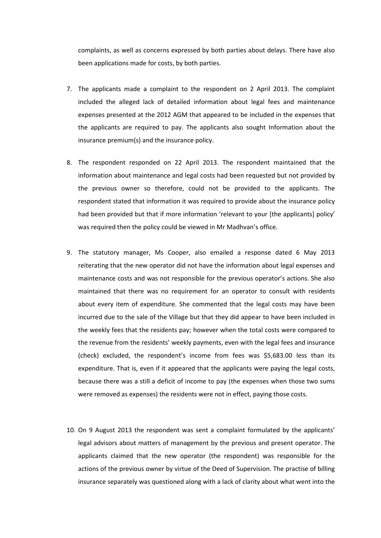complaints, as well as concerns expressed by both parties about delays. There have also been applications made for costs, by both parties.

- 7. The applicants made a complaint to the respondent on 2 April 2013. The complaint included the alleged lack of detailed information about legal fees and maintenance expenses presented at the 2012 AGM that appeared to be included in the expenses that the applicants are required to pay. The applicants also sought Information about the insurance premium(s) and the insurance policy.
- 8. The respondent responded on 22 April 2013. The respondent maintained that the information about maintenance and legal costs had been requested but not provided by the previous owner so therefore, could not be provided to the applicants. The respondent stated that information it was required to provide about the insurance policy had been provided but that if more information 'relevant to your [the applicants] policy' was required then the policy could be viewed in Mr Madhvan's office.
- 9. The statutory manager, Ms Cooper, also emailed a response dated 6 May 2013 reiterating that the new operator did not have the information about legal expenses and maintenance costs and was not responsible for the previous operator's actions. She also maintained that there was no requirement for an operator to consult with residents about every item of expenditure. She commented that the legal costs may have been incurred due to the sale of the Village but that they did appear to have been included in the weekly fees that the residents pay; however when the total costs were compared to the revenue from the residents' weekly payments, even with the legal fees and insurance (check) excluded, the respondent's income from fees was \$5,683.00 less than its expenditure. That is, even if it appeared that the applicants were paying the legal costs, because there was a still a deficit of income to pay (the expenses when those two sums were removed as expenses) the residents were not in effect, paying those costs.
- 10. On 9 August 2013 the respondent was sent a complaint formulated by the applicants' legal advisors about matters of management by the previous and present operator. The applicants claimed that the new operator (the respondent) was responsible for the actions of the previous owner by virtue of the Deed of Supervision. The practise of billing insurance separately was questioned along with a lack of clarity about what went into the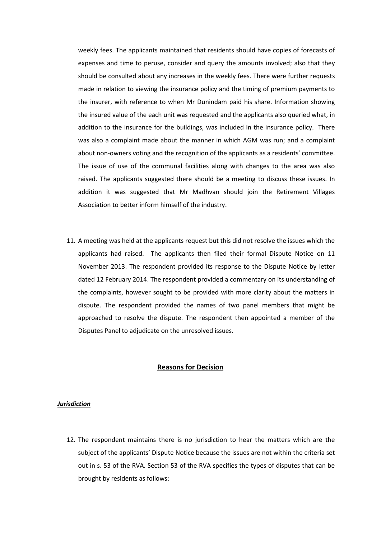weekly fees. The applicants maintained that residents should have copies of forecasts of expenses and time to peruse, consider and query the amounts involved; also that they should be consulted about any increases in the weekly fees. There were further requests made in relation to viewing the insurance policy and the timing of premium payments to the insurer, with reference to when Mr Dunindam paid his share. Information showing the insured value of the each unit was requested and the applicants also queried what, in addition to the insurance for the buildings, was included in the insurance policy. There was also a complaint made about the manner in which AGM was run; and a complaint about non-owners voting and the recognition of the applicants as a residents' committee. The issue of use of the communal facilities along with changes to the area was also raised. The applicants suggested there should be a meeting to discuss these issues. In addition it was suggested that Mr Madhvan should join the Retirement Villages Association to better inform himself of the industry.

11. A meeting was held at the applicants request but this did not resolve the issues which the applicants had raised. The applicants then filed their formal Dispute Notice on 11 November 2013. The respondent provided its response to the Dispute Notice by letter dated 12 February 2014. The respondent provided a commentary on its understanding of the complaints, however sought to be provided with more clarity about the matters in dispute. The respondent provided the names of two panel members that might be approached to resolve the dispute. The respondent then appointed a member of the Disputes Panel to adjudicate on the unresolved issues.

## **Reasons for Decision**

### *Jurisdiction*

12. The respondent maintains there is no jurisdiction to hear the matters which are the subject of the applicants' Dispute Notice because the issues are not within the criteria set out in s. 53 of the RVA. Section 53 of the RVA specifies the types of disputes that can be brought by residents as follows: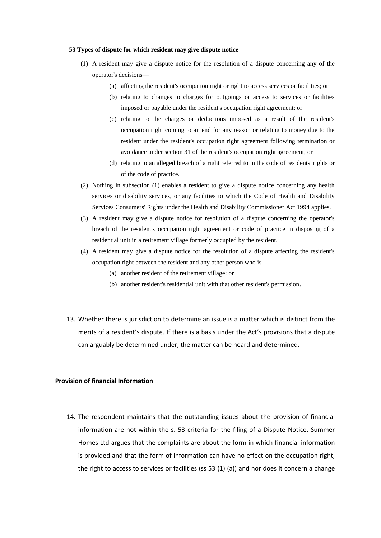#### **53 Types of dispute for which resident may give dispute notice**

- (1) A resident may give a dispute notice for the resolution of a dispute concerning any of the operator's decisions—
	- (a) affecting the resident's occupation right or right to access services or facilities; or
	- (b) relating to changes to charges for outgoings or access to services or facilities imposed or payable under the resident's occupation right agreement; or
	- (c) relating to the charges or deductions imposed as a result of the resident's occupation right coming to an end for any reason or relating to money due to the resident under the resident's occupation right agreement following termination or avoidance under [section 31](file:///C:/act/public/2003/0112/latest/link.aspx%3fid=DLM220868) of the resident's occupation right agreement; or
	- (d) relating to an alleged breach of a right referred to in the code of residents' rights or of the code of practice.
- (2) Nothing in subsection (1) enables a resident to give a dispute notice concerning any health services or disability services, or any facilities to which the Code of Health and Disability Services Consumers' Rights under the [Health and Disability Commissioner Act 1994](file:///C:/act/public/2003/0112/latest/link.aspx%3fid=DLM333583) applies.
- (3) A resident may give a dispute notice for resolution of a dispute concerning the operator's breach of the resident's occupation right agreement or code of practice in disposing of a residential unit in a retirement village formerly occupied by the resident.
- (4) A resident may give a dispute notice for the resolution of a dispute affecting the resident's occupation right between the resident and any other person who is—
	- (a) another resident of the retirement village; or
	- (b) another resident's residential unit with that other resident's permission.
- 13. Whether there is jurisdiction to determine an issue is a matter which is distinct from the merits of a resident's dispute. If there is a basis under the Act's provisions that a dispute can arguably be determined under, the matter can be heard and determined.

# **Provision of financial Information**

14. The respondent maintains that the outstanding issues about the provision of financial information are not within the s. 53 criteria for the filing of a Dispute Notice. Summer Homes Ltd argues that the complaints are about the form in which financial information is provided and that the form of information can have no effect on the occupation right, the right to access to services or facilities (ss 53 (1) (a)) and nor does it concern a change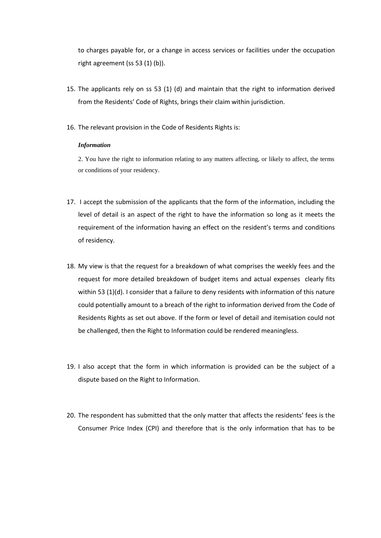to charges payable for, or a change in access services or facilities under the occupation right agreement (ss 53 (1) (b)).

- 15. The applicants rely on ss 53 (1) (d) and maintain that the right to information derived from the Residents' Code of Rights, brings their claim within jurisdiction.
- 16. The relevant provision in the Code of Residents Rights is:

## *Information*

2. You have the right to information relating to any matters affecting, or likely to affect, the terms or conditions of your residency.

- 17. I accept the submission of the applicants that the form of the information, including the level of detail is an aspect of the right to have the information so long as it meets the requirement of the information having an effect on the resident's terms and conditions of residency.
- 18. My view is that the request for a breakdown of what comprises the weekly fees and the request for more detailed breakdown of budget items and actual expenses clearly fits within 53 (1)(d). I consider that a failure to deny residents with information of this nature could potentially amount to a breach of the right to information derived from the Code of Residents Rights as set out above. If the form or level of detail and itemisation could not be challenged, then the Right to Information could be rendered meaningless.
- 19. I also accept that the form in which information is provided can be the subject of a dispute based on the Right to Information.
- 20. The respondent has submitted that the only matter that affects the residents' fees is the Consumer Price Index (CPI) and therefore that is the only information that has to be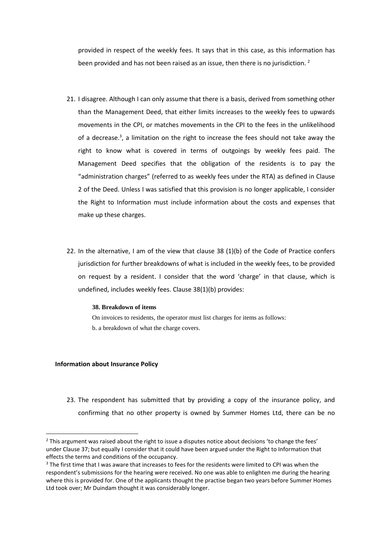provided in respect of the weekly fees. It says that in this case, as this information has been provided and has not been raised as an issue, then there is no jurisdiction.<sup>2</sup>

- 21. I disagree. Although I can only assume that there is a basis, derived from something other than the Management Deed, that either limits increases to the weekly fees to upwards movements in the CPI, or matches movements in the CPI to the fees in the unlikelihood of a decrease.<sup>3</sup>, a limitation on the right to increase the fees should not take away the right to know what is covered in terms of outgoings by weekly fees paid. The Management Deed specifies that the obligation of the residents is to pay the "administration charges" (referred to as weekly fees under the RTA) as defined in Clause 2 of the Deed. Unless I was satisfied that this provision is no longer applicable, I consider the Right to Information must include information about the costs and expenses that make up these charges.
- 22. In the alternative, I am of the view that clause 38 (1)(b) of the Code of Practice confers jurisdiction for further breakdowns of what is included in the weekly fees, to be provided on request by a resident. I consider that the word 'charge' in that clause, which is undefined, includes weekly fees. Clause 38(1)(b) provides:

### **38. Breakdown of items**

On invoices to residents, the operator must list charges for items as follows: b. a breakdown of what the charge covers.

### **Information about Insurance Policy**

 $\overline{a}$ 

23. The respondent has submitted that by providing a copy of the insurance policy, and confirming that no other property is owned by Summer Homes Ltd, there can be no

<sup>&</sup>lt;sup>2</sup> This argument was raised about the right to issue a disputes notice about decisions 'to change the fees' under Clause 37; but equally I consider that it could have been argued under the Right to Information that effects the terms and conditions of the occupancy.

<sup>&</sup>lt;sup>3</sup> The first time that I was aware that increases to fees for the residents were limited to CPI was when the respondent's submissions for the hearing were received. No one was able to enlighten me during the hearing where this is provided for. One of the applicants thought the practise began two years before Summer Homes Ltd took over; Mr Duindam thought it was considerably longer.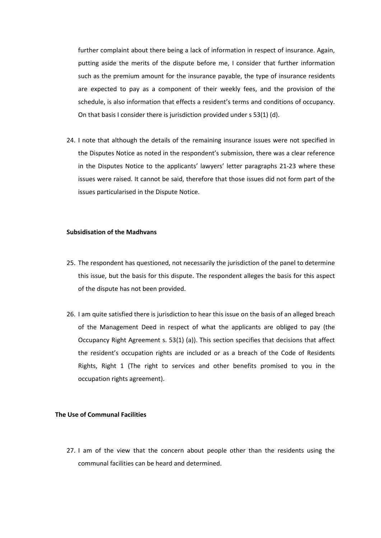further complaint about there being a lack of information in respect of insurance. Again, putting aside the merits of the dispute before me, I consider that further information such as the premium amount for the insurance payable, the type of insurance residents are expected to pay as a component of their weekly fees, and the provision of the schedule, is also information that effects a resident's terms and conditions of occupancy. On that basis I consider there is jurisdiction provided under s 53(1) (d).

24. I note that although the details of the remaining insurance issues were not specified in the Disputes Notice as noted in the respondent's submission, there was a clear reference in the Disputes Notice to the applicants' lawyers' letter paragraphs 21-23 where these issues were raised. It cannot be said, therefore that those issues did not form part of the issues particularised in the Dispute Notice.

#### **Subsidisation of the Madhvans**

- 25. The respondent has questioned, not necessarily the jurisdiction of the panel to determine this issue, but the basis for this dispute. The respondent alleges the basis for this aspect of the dispute has not been provided.
- 26. I am quite satisfied there is jurisdiction to hear this issue on the basis of an alleged breach of the Management Deed in respect of what the applicants are obliged to pay (the Occupancy Right Agreement s. 53(1) (a)). This section specifies that decisions that affect the resident's occupation rights are included or as a breach of the Code of Residents Rights, Right 1 (The right to services and other benefits promised to you in the occupation rights agreement).

# **The Use of Communal Facilities**

27. I am of the view that the concern about people other than the residents using the communal facilities can be heard and determined.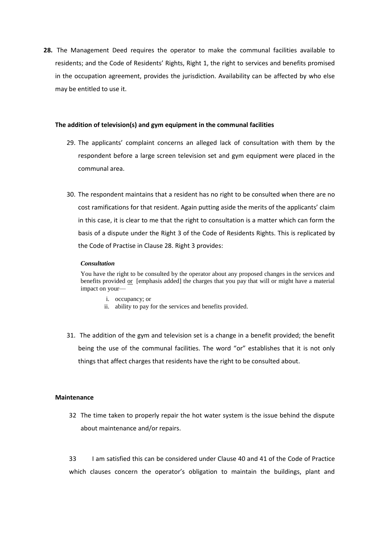**28.** The Management Deed requires the operator to make the communal facilities available to residents; and the Code of Residents' Rights, Right 1, the right to services and benefits promised in the occupation agreement, provides the jurisdiction. Availability can be affected by who else may be entitled to use it.

### **The addition of television(s) and gym equipment in the communal facilities**

- 29. The applicants' complaint concerns an alleged lack of consultation with them by the respondent before a large screen television set and gym equipment were placed in the communal area.
- 30. The respondent maintains that a resident has no right to be consulted when there are no cost ramifications for that resident. Again putting aside the merits of the applicants' claim in this case, it is clear to me that the right to consultation is a matter which can form the basis of a dispute under the Right 3 of the Code of Residents Rights. This is replicated by the Code of Practise in Clause 28. Right 3 provides:

#### *Consultation*

You have the right to be consulted by the operator about any proposed changes in the services and benefits provided  $or$  [emphasis added] the charges that you pay that will or might have a material impact on your—

- i. occupancy; or
- ii. ability to pay for the services and benefits provided.
- 31. The addition of the gym and television set is a change in a benefit provided; the benefit being the use of the communal facilities. The word "or" establishes that it is not only things that affect charges that residents have the right to be consulted about.

### **Maintenance**

32 The time taken to properly repair the hot water system is the issue behind the dispute about maintenance and/or repairs.

33 I am satisfied this can be considered under Clause 40 and 41 of the Code of Practice which clauses concern the operator's obligation to maintain the buildings, plant and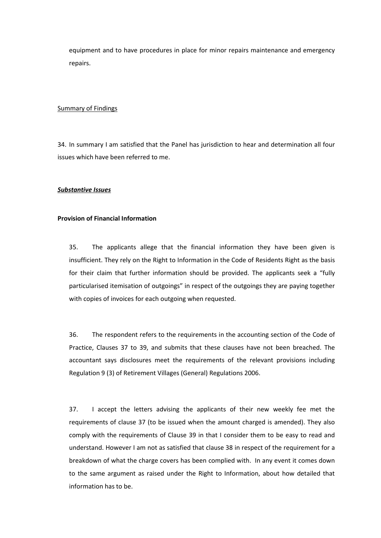equipment and to have procedures in place for minor repairs maintenance and emergency repairs.

## Summary of Findings

34. In summary I am satisfied that the Panel has jurisdiction to hear and determination all four issues which have been referred to me.

#### *Substantive Issues*

### **Provision of Financial Information**

35. The applicants allege that the financial information they have been given is insufficient. They rely on the Right to Information in the Code of Residents Right as the basis for their claim that further information should be provided. The applicants seek a "fully particularised itemisation of outgoings" in respect of the outgoings they are paying together with copies of invoices for each outgoing when requested.

36. The respondent refers to the requirements in the accounting section of the Code of Practice, Clauses 37 to 39, and submits that these clauses have not been breached. The accountant says disclosures meet the requirements of the relevant provisions including Regulation 9 (3) of Retirement Villages (General) Regulations 2006.

37. I accept the letters advising the applicants of their new weekly fee met the requirements of clause 37 (to be issued when the amount charged is amended). They also comply with the requirements of Clause 39 in that I consider them to be easy to read and understand. However I am not as satisfied that clause 38 in respect of the requirement for a breakdown of what the charge covers has been complied with. In any event it comes down to the same argument as raised under the Right to Information, about how detailed that information has to be.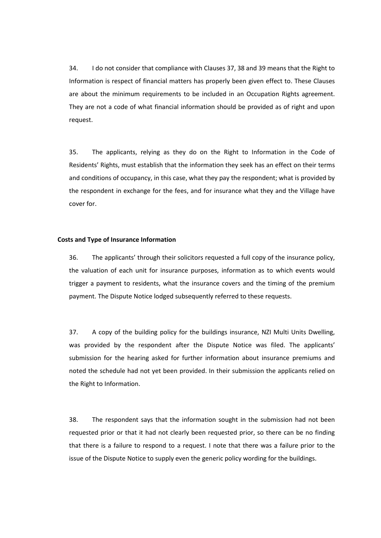34. I do not consider that compliance with Clauses 37, 38 and 39 means that the Right to Information is respect of financial matters has properly been given effect to. These Clauses are about the minimum requirements to be included in an Occupation Rights agreement. They are not a code of what financial information should be provided as of right and upon request.

35. The applicants, relying as they do on the Right to Information in the Code of Residents' Rights, must establish that the information they seek has an effect on their terms and conditions of occupancy, in this case, what they pay the respondent; what is provided by the respondent in exchange for the fees, and for insurance what they and the Village have cover for.

#### **Costs and Type of Insurance Information**

36. The applicants' through their solicitors requested a full copy of the insurance policy, the valuation of each unit for insurance purposes, information as to which events would trigger a payment to residents, what the insurance covers and the timing of the premium payment. The Dispute Notice lodged subsequently referred to these requests.

37. A copy of the building policy for the buildings insurance, NZI Multi Units Dwelling, was provided by the respondent after the Dispute Notice was filed. The applicants' submission for the hearing asked for further information about insurance premiums and noted the schedule had not yet been provided. In their submission the applicants relied on the Right to Information.

38. The respondent says that the information sought in the submission had not been requested prior or that it had not clearly been requested prior, so there can be no finding that there is a failure to respond to a request. I note that there was a failure prior to the issue of the Dispute Notice to supply even the generic policy wording for the buildings.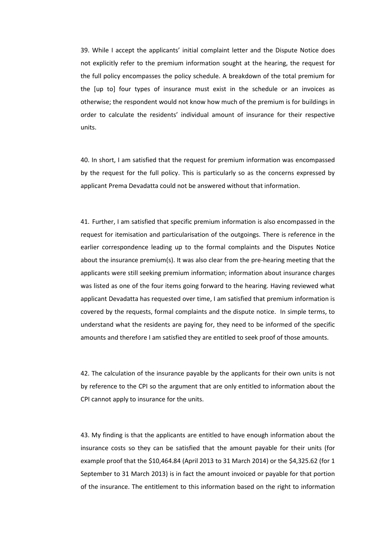39. While I accept the applicants' initial complaint letter and the Dispute Notice does not explicitly refer to the premium information sought at the hearing, the request for the full policy encompasses the policy schedule. A breakdown of the total premium for the [up to] four types of insurance must exist in the schedule or an invoices as otherwise; the respondent would not know how much of the premium is for buildings in order to calculate the residents' individual amount of insurance for their respective units.

40. In short, I am satisfied that the request for premium information was encompassed by the request for the full policy. This is particularly so as the concerns expressed by applicant Prema Devadatta could not be answered without that information.

41. Further, I am satisfied that specific premium information is also encompassed in the request for itemisation and particularisation of the outgoings. There is reference in the earlier correspondence leading up to the formal complaints and the Disputes Notice about the insurance premium(s). It was also clear from the pre-hearing meeting that the applicants were still seeking premium information; information about insurance charges was listed as one of the four items going forward to the hearing. Having reviewed what applicant Devadatta has requested over time, I am satisfied that premium information is covered by the requests, formal complaints and the dispute notice. In simple terms, to understand what the residents are paying for, they need to be informed of the specific amounts and therefore I am satisfied they are entitled to seek proof of those amounts.

42. The calculation of the insurance payable by the applicants for their own units is not by reference to the CPI so the argument that are only entitled to information about the CPI cannot apply to insurance for the units.

43. My finding is that the applicants are entitled to have enough information about the insurance costs so they can be satisfied that the amount payable for their units (for example proof that the \$10,464.84 (April 2013 to 31 March 2014) or the \$4,325.62 (for 1 September to 31 March 2013) is in fact the amount invoiced or payable for that portion of the insurance. The entitlement to this information based on the right to information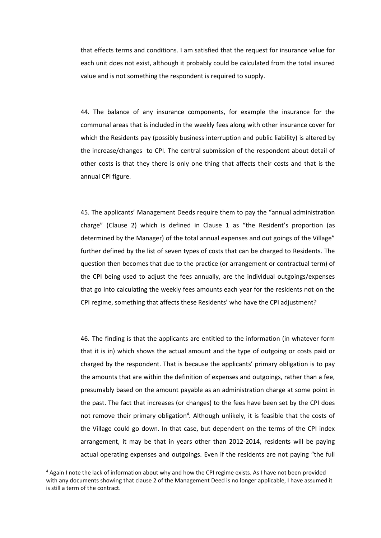that effects terms and conditions. I am satisfied that the request for insurance value for each unit does not exist, although it probably could be calculated from the total insured value and is not something the respondent is required to supply.

44. The balance of any insurance components, for example the insurance for the communal areas that is included in the weekly fees along with other insurance cover for which the Residents pay (possibly business interruption and public liability) is altered by the increase/changes to CPI. The central submission of the respondent about detail of other costs is that they there is only one thing that affects their costs and that is the annual CPI figure.

45. The applicants' Management Deeds require them to pay the "annual administration charge" (Clause 2) which is defined in Clause 1 as "the Resident's proportion (as determined by the Manager) of the total annual expenses and out goings of the Village" further defined by the list of seven types of costs that can be charged to Residents. The question then becomes that due to the practice (or arrangement or contractual term) of the CPI being used to adjust the fees annually, are the individual outgoings/expenses that go into calculating the weekly fees amounts each year for the residents not on the CPI regime, something that affects these Residents' who have the CPI adjustment?

46. The finding is that the applicants are entitled to the information (in whatever form that it is in) which shows the actual amount and the type of outgoing or costs paid or charged by the respondent. That is because the applicants' primary obligation is to pay the amounts that are within the definition of expenses and outgoings, rather than a fee, presumably based on the amount payable as an administration charge at some point in the past. The fact that increases (or changes) to the fees have been set by the CPI does not remove their primary obligation<sup>4</sup>. Although unlikely, it is feasible that the costs of the Village could go down. In that case, but dependent on the terms of the CPI index arrangement, it may be that in years other than 2012-2014, residents will be paying actual operating expenses and outgoings. Even if the residents are not paying "the full

**.** 

<sup>4</sup> Again I note the lack of information about why and how the CPI regime exists. As I have not been provided with any documents showing that clause 2 of the Management Deed is no longer applicable, I have assumed it is still a term of the contract.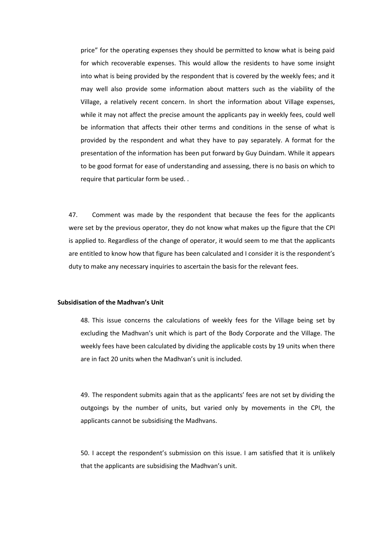price" for the operating expenses they should be permitted to know what is being paid for which recoverable expenses. This would allow the residents to have some insight into what is being provided by the respondent that is covered by the weekly fees; and it may well also provide some information about matters such as the viability of the Village, a relatively recent concern. In short the information about Village expenses, while it may not affect the precise amount the applicants pay in weekly fees, could well be information that affects their other terms and conditions in the sense of what is provided by the respondent and what they have to pay separately. A format for the presentation of the information has been put forward by Guy Duindam. While it appears to be good format for ease of understanding and assessing, there is no basis on which to require that particular form be used..

47. Comment was made by the respondent that because the fees for the applicants were set by the previous operator, they do not know what makes up the figure that the CPI is applied to. Regardless of the change of operator, it would seem to me that the applicants are entitled to know how that figure has been calculated and I consider it is the respondent's duty to make any necessary inquiries to ascertain the basis for the relevant fees.

# **Subsidisation of the Madhvan's Unit**

48. This issue concerns the calculations of weekly fees for the Village being set by excluding the Madhvan's unit which is part of the Body Corporate and the Village. The weekly fees have been calculated by dividing the applicable costs by 19 units when there are in fact 20 units when the Madhvan's unit is included.

49. The respondent submits again that as the applicants' fees are not set by dividing the outgoings by the number of units, but varied only by movements in the CPI, the applicants cannot be subsidising the Madhvans.

50. I accept the respondent's submission on this issue. I am satisfied that it is unlikely that the applicants are subsidising the Madhvan's unit.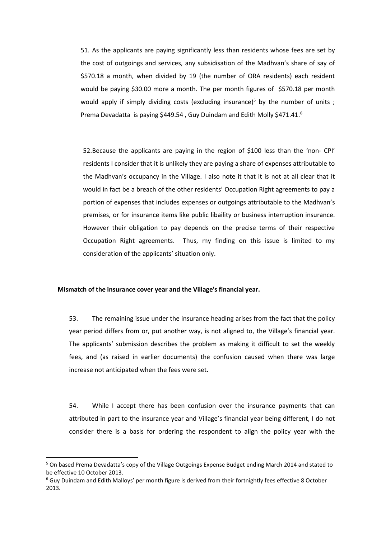51. As the applicants are paying significantly less than residents whose fees are set by the cost of outgoings and services, any subsidisation of the Madhvan's share of say of \$570.18 a month, when divided by 19 (the number of ORA residents) each resident would be paying \$30.00 more a month. The per month figures of \$570.18 per month would apply if simply dividing costs (excluding insurance)<sup>5</sup> by the number of units ; Prema Devadatta is paying \$449.54, Guy Duindam and Edith Molly \$471.41.<sup>6</sup>

52.Because the applicants are paying in the region of \$100 less than the 'non- CPI' residents I consider that it is unlikely they are paying a share of expenses attributable to the Madhvan's occupancy in the Village. I also note it that it is not at all clear that it would in fact be a breach of the other residents' Occupation Right agreements to pay a portion of expenses that includes expenses or outgoings attributable to the Madhvan's premises, or for insurance items like public libaility or business interruption insurance. However their obligation to pay depends on the precise terms of their respective Occupation Right agreements. Thus, my finding on this issue is limited to my consideration of the applicants' situation only.

# **Mismatch of the insurance cover year and the Village's financial year.**

53. The remaining issue under the insurance heading arises from the fact that the policy year period differs from or, put another way, is not aligned to, the Village's financial year. The applicants' submission describes the problem as making it difficult to set the weekly fees, and (as raised in earlier documents) the confusion caused when there was large increase not anticipated when the fees were set.

54. While I accept there has been confusion over the insurance payments that can attributed in part to the insurance year and Village's financial year being different, I do not consider there is a basis for ordering the respondent to align the policy year with the

**.** 

<sup>5</sup> On based Prema Devadatta's copy of the Village Outgoings Expense Budget ending March 2014 and stated to be effective 10 October 2013.

<sup>6</sup> Guy Duindam and Edith Malloys' per month figure is derived from their fortnightly fees effective 8 October 2013.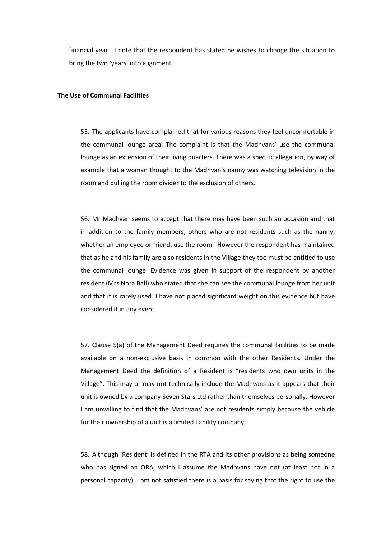financial year. I note that the respondent has stated he wishes to change the situation to bring the two 'years' into alignment.

# **The Use of Communal Facilities**

55. The applicants have complained that for various reasons they feel uncomfortable in the communal lounge area. The complaint is that the Madhvans' use the communal lounge as an extension of their living quarters. There was a specific allegation, by way of example that a woman thought to the Madhvan's nanny was watching television in the room and pulling the room divider to the exclusion of others.

56. Mr Madhvan seems to accept that there may have been such an occasion and that in addition to the family members, others who are not residents such as the nanny, whether an employee or friend, use the room. However the respondent has maintained that as he and his family are also residents in the Village they too must be entitled to use the communal lounge. Evidence was given in support of the respondent by another resident (Mrs Nora Ball) who stated that she can see the communal lounge from her unit and that it is rarely used. I have not placed significant weight on this evidence but have considered it in any event.

57. Clause 5(a) of the Management Deed requires the communal facilities to be made available on a non-exclusive basis in common with the other Residents. Under the Management Deed the definition of a Resident is "residents who own units in the Village". This may or may not technically include the Madhvans as it appears that their unit is owned by a company Seven Stars Ltd rather than themselves personally. However I am unwilling to find that the Madhvans' are not residents simply because the vehicle for their ownership of a unit is a limited liability company.

58. Although 'Resident' is defined in the RTA and its other provisions as being someone who has signed an ORA, which I assume the Madhvans have not (at least not in a personal capacity), I am not satisfied there is a basis for saying that the right to use the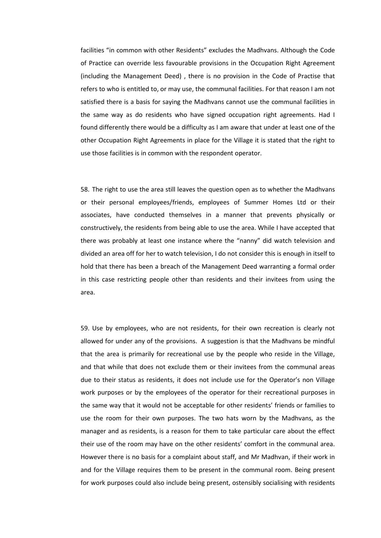facilities "in common with other Residents" excludes the Madhvans. Although the Code of Practice can override less favourable provisions in the Occupation Right Agreement (including the Management Deed) , there is no provision in the Code of Practise that refers to who is entitled to, or may use, the communal facilities. For that reason I am not satisfied there is a basis for saying the Madhvans cannot use the communal facilities in the same way as do residents who have signed occupation right agreements. Had I found differently there would be a difficulty as I am aware that under at least one of the other Occupation Right Agreements in place for the Village it is stated that the right to use those facilities is in common with the respondent operator.

58. The right to use the area still leaves the question open as to whether the Madhvans or their personal employees/friends, employees of Summer Homes Ltd or their associates, have conducted themselves in a manner that prevents physically or constructively, the residents from being able to use the area. While I have accepted that there was probably at least one instance where the "nanny" did watch television and divided an area off for her to watch television, I do not consider this is enough in itself to hold that there has been a breach of the Management Deed warranting a formal order in this case restricting people other than residents and their invitees from using the area.

59. Use by employees, who are not residents, for their own recreation is clearly not allowed for under any of the provisions. A suggestion is that the Madhvans be mindful that the area is primarily for recreational use by the people who reside in the Village, and that while that does not exclude them or their invitees from the communal areas due to their status as residents, it does not include use for the Operator's non Village work purposes or by the employees of the operator for their recreational purposes in the same way that it would not be acceptable for other residents' friends or families to use the room for their own purposes. The two hats worn by the Madhvans, as the manager and as residents, is a reason for them to take particular care about the effect their use of the room may have on the other residents' comfort in the communal area. However there is no basis for a complaint about staff, and Mr Madhvan, if their work in and for the Village requires them to be present in the communal room. Being present for work purposes could also include being present, ostensibly socialising with residents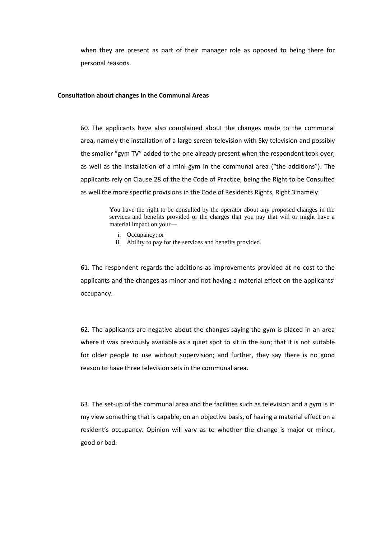when they are present as part of their manager role as opposed to being there for personal reasons.

#### **Consultation about changes in the Communal Areas**

60. The applicants have also complained about the changes made to the communal area, namely the installation of a large screen television with Sky television and possibly the smaller "gym TV" added to the one already present when the respondent took over; as well as the installation of a mini gym in the communal area ("the additions"). The applicants rely on Clause 28 of the the Code of Practice, being the Right to be Consulted as well the more specific provisions in the Code of Residents Rights, Right 3 namely:

> You have the right to be consulted by the operator about any proposed changes in the services and benefits provided or the charges that you pay that will or might have a material impact on your—

- i. Occupancy; or
- ii. Ability to pay for the services and benefits provided.

61. The respondent regards the additions as improvements provided at no cost to the applicants and the changes as minor and not having a material effect on the applicants' occupancy.

62. The applicants are negative about the changes saying the gym is placed in an area where it was previously available as a quiet spot to sit in the sun; that it is not suitable for older people to use without supervision; and further, they say there is no good reason to have three television sets in the communal area.

63. The set-up of the communal area and the facilities such as television and a gym is in my view something that is capable, on an objective basis, of having a material effect on a resident's occupancy. Opinion will vary as to whether the change is major or minor, good or bad.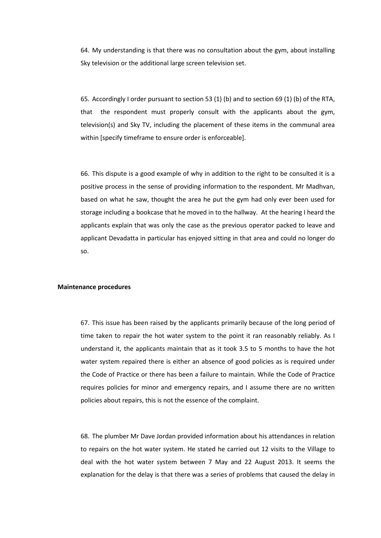64. My understanding is that there was no consultation about the gym, about installing Sky television or the additional large screen television set.

65. Accordingly I order pursuant to section 53 (1) (b) and to section 69 (1) (b) of the RTA, that the respondent must properly consult with the applicants about the gym, television(s) and Sky TV, including the placement of these items in the communal area within [specify timeframe to ensure order is enforceable].

66. This dispute is a good example of why in addition to the right to be consulted it is a positive process in the sense of providing information to the respondent. Mr Madhvan, based on what he saw, thought the area he put the gym had only ever been used for storage including a bookcase that he moved in to the hallway. At the hearing I heard the applicants explain that was only the case as the previous operator packed to leave and applicant Devadatta in particular has enjoyed sitting in that area and could no longer do so.

### **Maintenance procedures**

67. This issue has been raised by the applicants primarily because of the long period of time taken to repair the hot water system to the point it ran reasonably reliably. As I understand it, the applicants maintain that as it took 3.5 to 5 months to have the hot water system repaired there is either an absence of good policies as is required under the Code of Practice or there has been a failure to maintain. While the Code of Practice requires policies for minor and emergency repairs, and I assume there are no written policies about repairs, this is not the essence of the complaint.

68. The plumber Mr Dave Jordan provided information about his attendances in relation to repairs on the hot water system. He stated he carried out 12 visits to the Village to deal with the hot water system between 7 May and 22 August 2013. It seems the explanation for the delay is that there was a series of problems that caused the delay in